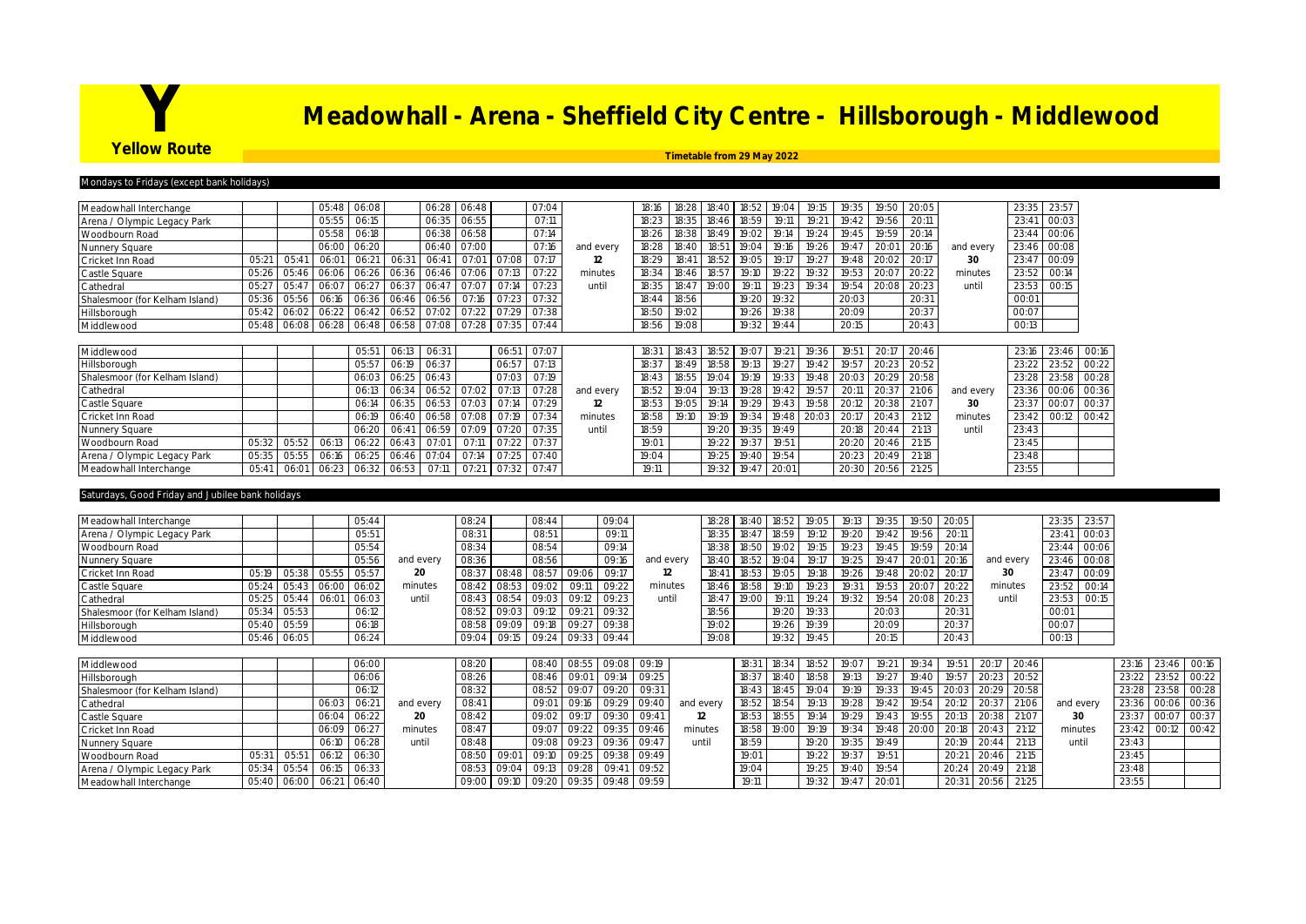# **Yellow Route**<br>Yellow Route<br>Turkism 2011-2022

## **Yellow Route Timetable from 29 May 2022**

#### days to Fridays (except bank holida

| Meadowhall Interchange         |       |       | 05:48 | 06:08         |       | 06:28       | 06:48     |       | 07:04 |           | 18:16 | 18:28          | 18:40 | 18:52 | 19:04 | 19:15 | 19:35 | 19:50 | 20:05 |           | 23:35 | 23:57 |       |
|--------------------------------|-------|-------|-------|---------------|-------|-------------|-----------|-------|-------|-----------|-------|----------------|-------|-------|-------|-------|-------|-------|-------|-----------|-------|-------|-------|
| Arena / Olympic Legacy Park    |       |       | 05:55 | 06:15         |       | 06:35       | 06:55     |       | O7:11 |           | 18:2  | 18:35          | 18:46 | 18:59 | 19:11 | 19:21 | 19:4  | 19:56 | 20:1  |           | 23:41 | 00:03 |       |
| Woodbourn Road                 |       |       | 05:58 | 06:18         |       | 06:38       | 06:58     |       | 07:14 |           | 18:26 | 18:38          | 18:49 | 19:02 | 19:14 | 19:24 | 19:45 | 19:59 | 20:14 |           | 23:44 | 00:06 |       |
| Nunnery Square                 |       |       | 06:00 | 06:20         |       | 06:40       | 07:00     |       | 07:16 | and every | 18:28 | 18:40          | 18:51 | 19:04 | 19:16 | 19:26 | 19:47 | 20:0  | 20:16 | and every | 23:46 | 00:08 |       |
| Cricket Inn Road               | 05:21 | 05:41 | 06:01 | 06:21         | 06:31 | 06:41       | 07:01     | 07:08 | 07:17 | 12        | 18:29 | $18:4^{\circ}$ | 18:52 | 19:05 | 19:17 | 19:27 | 19:48 | 20:02 | 20:17 | 30        | 23:47 | 00:09 |       |
| Castle Square                  | 05:26 | 05:46 | 06:06 | 06:26         | 06:36 | 06:46       | 07:06     | O7:13 | 07:22 | minutes   | 18:34 | 18:46          | 18:57 | 19:10 |       | 19:32 | 19:53 | 20:07 | 20:22 | minutes   | 23:52 | 00:14 |       |
| Cathedral                      | 05:27 | 05:47 | 06:07 | 06:27         | 06:37 | 06:47       | 07:07     | 07:14 | 07:23 | until     | 18:35 | 18:47          | 19:00 | 19:11 | 19:23 | 19:34 | 19:54 | 20:08 | 20:23 | until     | 23:53 | 00:15 |       |
| Shalesmoor (for Kelham Island) | 05:36 | 05:56 | 06:16 | 06:36         |       | 06:46 06:56 | 07<br>Iħ. | 07:23 | 07:32 |           | 18:44 | 18:56          |       | 19:20 | 19:32 |       | 20:03 |       | 20:31 |           | 00:01 |       |       |
| Hillsborough                   | 05:42 | 06:02 | 06:22 | 06:42         | 06:52 | 07:02       | 07:22     | 07:29 | 07:38 |           | 18:50 | 19:02          |       | 19:26 | 19:38 |       | 20:09 |       | 20:37 |           | 00:07 |       |       |
| Middlewood                     | 05:48 | 06:08 | 06:28 | 06:48 06:58   |       | 07:08       | 07:28     | 07:35 | O7:44 |           | 18:56 | 19:08          |       | 19:32 | 19:44 |       | 20:15 |       | 20:43 |           | 00:13 |       |       |
|                                |       |       |       |               |       |             |           |       |       |           |       |                |       |       |       |       |       |       |       |           |       |       |       |
| Middlewood                     |       |       |       | 05:5          | 06:1  | 06:31       |           | 06:51 | 07:07 |           | 18:3  | 18:43          | 18:52 |       | 19:2  | 19:36 | 19:5  | 20:   | 20:46 |           | 23:16 | 23:46 | 00:16 |
| Hillsborough                   |       |       |       | 05:57         | 06:19 | 06:37       |           | 06:57 | 07:13 |           | 18:3  | 18:49          | 18:58 | 19:13 | 19:27 | 19:42 | 19:57 | 20:2  | 20:52 |           | 23:22 | 23:52 | 00:22 |
| Shalesmoor (for Kelham Island) |       |       |       | 06:03         | 06:25 | 06:43       |           | 07:03 | 07:19 |           | 18:4  | 18:55          | 19:04 | 19:19 | 19:3. | 19:48 | 20:03 | 20:29 | 20:58 |           |       | 23:58 | 00:28 |
| Cathedral                      |       |       |       | 06:13         | 06:34 | 06:52       | 07:02     | 07:13 | 07:28 | and every | 18:52 | 19:04          | 19:13 | 19:28 | 19:42 | 19:57 | 20:11 | 20:37 | 21:06 | and every | 23:36 | 00:06 | 00:36 |
| Castle Square                  |       |       |       | 06:14         | 06:35 | 06:53       | 07:03     | O7:14 | 07:29 | 12        | 18:53 | 19:05          | 19:14 | 19.29 | 19.41 | 19:58 | 20:1  | 20:38 | 21:0  | 30        | 23:37 | 00:07 | 00:37 |
| Cricket Inn Road               |       |       |       | 06:19         | 06:40 | 06:58       | 07:08     | 07:19 | 07:34 | minutes   | 18:58 | 19:10          | 19:19 | 19:34 | 19:48 | 20:03 | 20:17 | 20:43 | 21:12 | minutes   | 23:42 | 00:12 | 00:42 |
| Nunnery Square                 |       |       |       | 06:20         | 06:4  | 06:59       | 07:09     | 07:20 | 07:35 | until     | 18:59 |                | 19:20 | 19:35 | 19:49 |       | 20:18 | 20:44 | 21:13 | until     | 23:43 |       |       |
| Woodbourn Road                 | 05:32 | 05:52 | 06:13 | 06:22         | 06:43 | 07:01       | 07:11     | 07:22 | 07:37 |           | 19:01 |                | 19:22 | 19:37 | 19:51 |       | 20:20 | 20:46 | 21:15 |           | 23:45 |       |       |
| Arena / Olympic Legacy Park    | 05:35 |       | 06:16 | 06:25         | 06:46 | 07:04       | O7        | 07:25 | 07:40 |           | 19:04 |                | 19:25 | 19:40 | 19:54 |       | 20:23 | 20:49 | 21:18 |           | 23:48 |       |       |
| Meadowhall Interchange         | 05:41 | 06:01 | 06:23 | $06:32$ 06:53 |       | 07:1        | 07:21     | 07:32 | 07:47 |           | 19:1  |                | 19:32 | 19:47 | 20:01 |       | 20:30 | 20:56 | 21:25 |           | 23:55 |       |       |

#### turdays, Good Friday and Jubilee bank holidays

| Meadowhall Interchange         |       |             |                   | 05:44 |           | 08:24 |       | 08:44 |       | 09:04       |           |             | 18:28 18:40 | 18:52 | 19:05 | 19:13 | 19:35 |       | 19:50 20:05 |           |       | 23:35 23:57 |
|--------------------------------|-------|-------------|-------------------|-------|-----------|-------|-------|-------|-------|-------------|-----------|-------------|-------------|-------|-------|-------|-------|-------|-------------|-----------|-------|-------------|
| Arena / Olympic Legacy Park    |       |             |                   | 05:51 |           | 08:31 |       | 08:51 |       | 09:11       |           |             | 18:35 18:47 |       | 19:12 | 19:20 | 19:42 | 19:56 | 20:11       |           | 23:41 | 00:03       |
| Woodbourn Road                 |       |             |                   | 05:54 |           | 08:34 |       | 08:54 |       | 09:14       |           | 18:38       | 18:50       | 19:02 |       | 19:23 | 19:45 | 19:59 | 20:14       |           | 23:44 | 100:06      |
| Nunnery Square                 |       |             |                   | 05:56 | and every | 08:36 |       | 08:56 |       | 09:16       | and every | 18:40 18:52 |             | 19:04 |       | 19:25 | 19:47 | 20:01 | 20:16       | and every |       | 23:46 00:08 |
| Cricket Inn Road               | 05:19 | 05:38       | 05:55             | 05:57 | 20        | 08:3  | 08:48 | 08:57 | 09:06 | 09:17       | 12        |             | 18:53       | 19:05 | 19:18 | 19:26 | 19:48 | 20:02 | 20:17       | 30        | 23:4  | 00:09       |
| Castle Square                  |       |             | 05:24 05:43 06:00 | 06:02 | minutes   | 08:42 | 08:53 | 09:02 | 09:1" | 09:22       | minutes   | 18:46       | 18:58       | 19:10 | 19:23 | 19:31 | 19:53 | 20:07 | 20:22       | minutes   | 23:52 | 00:14       |
| Cathedral                      |       | 05:25 05:44 | $-06:01$          | 06:03 | until     | 08:43 | 08:54 | 09:03 | 09:12 | 09:23       | until     | 18:47       | 19:00       |       | 19:24 | 19:32 | 19:54 |       | 20:08 20:23 | until     | 23:53 | 00:15       |
| Shalesmoor (for Kelham Island) |       | 05:34 05:53 |                   | 06:12 |           | 08:52 | 09:03 | 09:12 | 09:2  | 09:32       |           | 18:56       |             | 19:20 | 19:33 |       | 20:03 |       | 20:31       |           | 00:01 |             |
| Hillsborough                   |       | 05:40 05:59 |                   | 06:18 |           | 08:58 | 09:09 | 09:18 | 09:27 | 09:38       |           | 19:02       |             | 19:26 | 19:39 |       | 20:09 |       | 20:37       |           | 00:07 |             |
| Middlewood                     |       | 05:46 06:05 |                   | 06:24 |           | 09:04 |       | 09:   |       | 09:33 09:44 |           | 19:08       |             | 19:32 | 19:45 |       | 20:15 |       | 20:43       |           | 00:13 |             |

| Middlewood                     |                         |       | 06:00  |           | 08:20       |             | 08:40 08:55             | 09:08 | 09:19                   |          | 18:31 | 18:34 | 18:52             | 19:07             | 19:21 | 19:34 | 19:51 | 20:17             | 20:46 |           | 23:16 | 23:46             | 00:16       |
|--------------------------------|-------------------------|-------|--------|-----------|-------------|-------------|-------------------------|-------|-------------------------|----------|-------|-------|-------------------|-------------------|-------|-------|-------|-------------------|-------|-----------|-------|-------------------|-------------|
| Hillsborough                   |                         |       | 06:06  |           | 08:26       | 08:46 09:01 |                         | 09:14 | 09:25                   |          |       |       | 18:37 18:40 18:58 | 19:13             | 19:27 | 19:40 | 19:57 | 20:23 20:52       |       |           | 23:22 |                   | 23:52 00:22 |
| Shalesmoor (for Kelham Island) |                         |       | 06:12  |           | 08:32       |             | 08:52 09:07 09:20       |       | 09:31                   |          |       |       | 18:43 18:45 19:04 | 19:19             | 19:33 | 19:45 |       | 20:03 20:29 20:58 |       |           | 23:28 |                   | 23:58 00:28 |
| Cathedral                      |                         | 06:03 | 06:21  | and every | 08:41       |             | $09:01$ 09:16 09:29     |       |                         | and ever | 18:52 | 18:54 | 19:13             | 19:28             | 19:42 | 19:54 |       | 20:12 20:37       | 21:06 | and every |       | 23:36 00:06 00:36 |             |
| Castle Square                  |                         | 06:04 | 06:22  | 20        | 08:42       | 09:02       | 09:17                   | 09:30 | 09:4                    |          | 18:53 | 18:55 | 19:14             | 19:29             | 19:43 | 19:55 | 20:13 | 20:38             | 21:07 | 30        | 23:37 | 00:07             | 00:37       |
| Cricket Inn Road               |                         | 06:09 | 06:27  | minutes   | 08:47       | 09:07       | 09:22                   | 09:35 | 09:46                   | minutes  | 18:58 | 19:00 | 19:19             | 19:34 19:48 20:00 |       |       |       | 20:18 20:43       | 21:12 | minutes   | 23:42 |                   | 00:12 00:42 |
| Nunnery Square                 |                         | 06:10 | 06:28  | until     | 08:48       |             | 09:08 09:23 09:36       |       |                         | until    | 18:59 |       | 19:20             | 19:35             | 19:49 |       | 20:19 | 20:44             | 21:13 | until     | 23:43 |                   |             |
| Woodbourn Road                 | 05:51                   | 06:12 | 106:30 |           | 08:50 09:01 | 09:10       | 09:25 09:38             |       | 09:49                   |          | 19:01 |       | 19:22             |                   | 19:51 |       | 20:21 | 20:46             | 21:15 |           | 23:45 |                   |             |
| Arena / Olympic Legacy Park    | 05:34 05:54 06:15 06:33 |       |        |           |             |             | 08:53 09:04 09:13 09:28 | 09:41 | 09:52                   |          | 19:04 |       | 19:25             | 19:40             | 19:54 |       |       | 20:24 20:49       | 21:18 |           | 23:48 |                   |             |
| Meadowhall Interchange         | 05:40 06:00 06:21 06:40 |       |        |           | 09:00 09:10 |             |                         |       | 09:20 09:35 09:48 09:59 |          | 19:11 |       | 19:32             | 19:47             | 20:01 |       | 20:31 | 20:56             | 21:25 |           | 23:55 |                   |             |